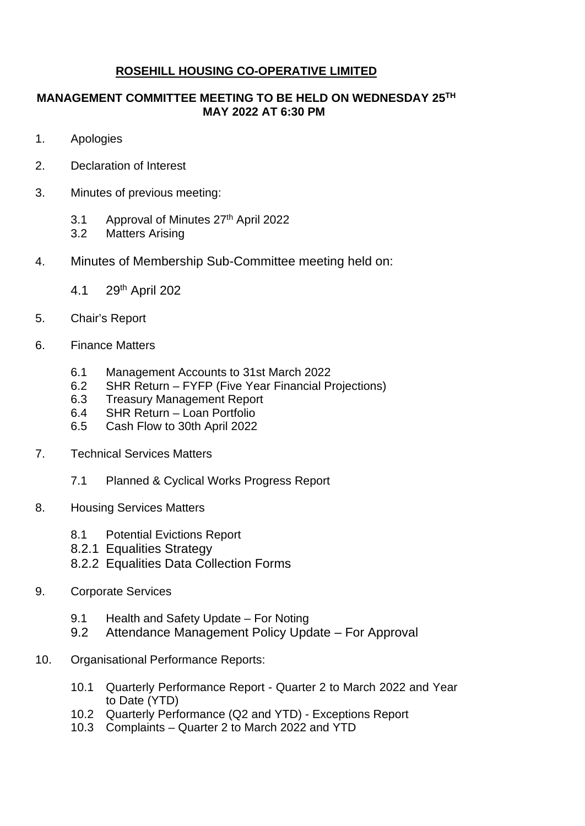## **ROSEHILL HOUSING CO-OPERATIVE LIMITED**

## **MANAGEMENT COMMITTEE MEETING TO BE HELD ON WEDNESDAY 25TH MAY 2022 AT 6:30 PM**

- 1. Apologies
- 2. Declaration of Interest
- 3. Minutes of previous meeting:
	- 3.1 Approval of Minutes 27<sup>th</sup> April 2022
	- 3.2 Matters Arising
- 4. Minutes of Membership Sub-Committee meeting held on:
	- 4.1 29th April 202
- 5. Chair's Report
- 6. Finance Matters
	- 6.1 Management Accounts to 31st March 2022
	- 6.2 SHR Return FYFP (Five Year Financial Projections)
	- 6.3 Treasury Management Report
	- 6.4 SHR Return Loan Portfolio
	- 6.5 Cash Flow to 30th April 2022
- 7. Technical Services Matters
	- 7.1 Planned & Cyclical Works Progress Report
- 8. Housing Services Matters
	- 8.1 Potential Evictions Report
	- 8.2.1 Equalities Strategy
	- 8.2.2 Equalities Data Collection Forms
- 9. Corporate Services
	- 9.1 Health and Safety Update For Noting
	- 9.2 Attendance Management Policy Update For Approval
- 10. Organisational Performance Reports:
	- 10.1 Quarterly Performance Report Quarter 2 to March 2022 and Year to Date (YTD)
	- 10.2 Quarterly Performance (Q2 and YTD) Exceptions Report
	- 10.3 Complaints Quarter 2 to March 2022 and YTD